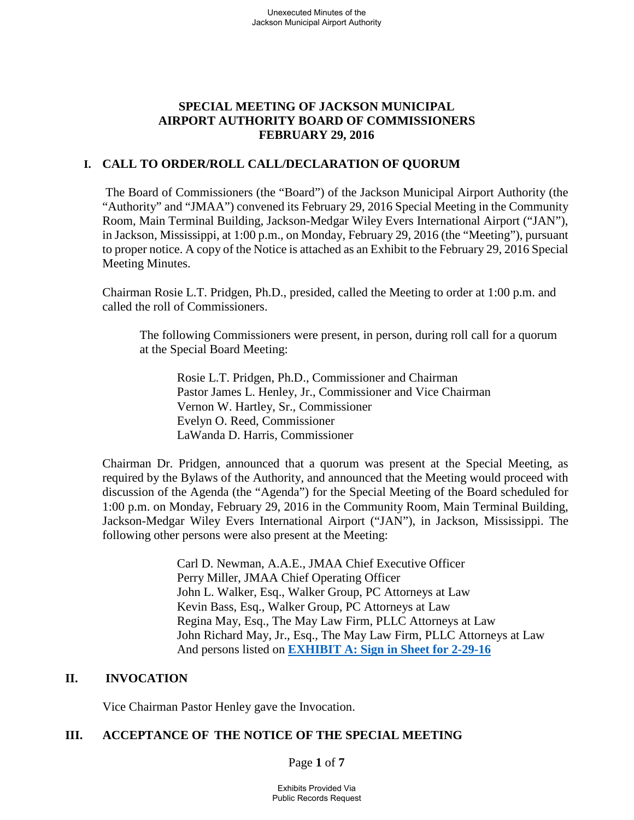# **SPECIAL MEETING OF JACKSON MUNICIPAL AIRPORT AUTHORITY BOARD OF COMMISSIONERS FEBRUARY 29, 2016**

## **I. CALL TO ORDER/ROLL CALL/DECLARATION OF QUORUM**

The Board of Commissioners (the "Board") of the Jackson Municipal Airport Authority (the "Authority" and "JMAA") convened its February 29, 2016 Special Meeting in the Community Room, Main Terminal Building, Jackson-Medgar Wiley Evers International Airport ("JAN"), in Jackson, Mississippi, at 1:00 p.m., on Monday, February 29, 2016 (the "Meeting"), pursuant to proper notice. A copy of the Notice is attached as an Exhibit to the February 29, 2016 Special Meeting Minutes.

Chairman Rosie L.T. Pridgen, Ph.D., presided, called the Meeting to order at 1:00 p.m. and called the roll of Commissioners.

The following Commissioners were present, in person, during roll call for a quorum at the Special Board Meeting:

Rosie L.T. Pridgen, Ph.D., Commissioner and Chairman Pastor James L. Henley, Jr., Commissioner and Vice Chairman Vernon W. Hartley, Sr., Commissioner Evelyn O. Reed, Commissioner LaWanda D. Harris, Commissioner

Chairman Dr. Pridgen, announced that a quorum was present at the Special Meeting, as required by the Bylaws of the Authority, and announced that the Meeting would proceed with discussion of the Agenda (the "Agenda") for the Special Meeting of the Board scheduled for 1:00 p.m. on Monday, February 29, 2016 in the Community Room, Main Terminal Building, Jackson-Medgar Wiley Evers International Airport ("JAN"), in Jackson, Mississippi. The following other persons were also present at the Meeting:

> Carl D. Newman, A.A.E., JMAA Chief Executive Officer Perry Miller, JMAA Chief Operating Officer John L. Walker, Esq., Walker Group, PC Attorneys at Law Kevin Bass, Esq., Walker Group, PC Attorneys at Law Regina May, Esq., The May Law Firm, PLLC Attorneys at Law John Richard May, Jr., Esq., The May Law Firm, PLLC Attorneys at Law And persons listed on **EXHIBIT A: Sign in Sheet for 2-29-16**

## **II. INVOCATION**

Vice Chairman Pastor Henley gave the Invocation.

# **III. ACCEPTANCE OF THE NOTICE OF THE SPECIAL MEETING**

Page **1** of **7**

Exhibits Provided Via Public Records Request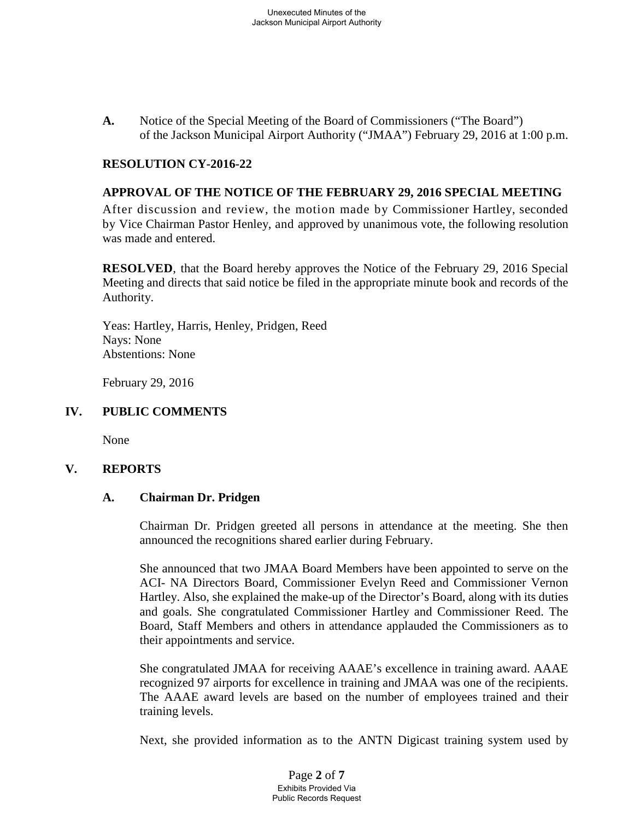**A.** Notice of the Special Meeting of the Board of Commissioners ("The Board") of the Jackson Municipal Airport Authority ("JMAA") February 29, 2016 at 1:00 p.m.

### **RESOLUTION CY-2016-22**

### **APPROVAL OF THE NOTICE OF THE FEBRUARY 29, 2016 SPECIAL MEETING**

After discussion and review, the motion made by Commissioner Hartley, seconded by Vice Chairman Pastor Henley, and approved by unanimous vote, the following resolution was made and entered.

**RESOLVED**, that the Board hereby approves the Notice of the February 29, 2016 Special Meeting and directs that said notice be filed in the appropriate minute book and records of the Authority.

Yeas: Hartley, Harris, Henley, Pridgen, Reed Nays: None Abstentions: None

February 29, 2016

### **IV. PUBLIC COMMENTS**

None

### **V. REPORTS**

### **A. Chairman Dr. Pridgen**

Chairman Dr. Pridgen greeted all persons in attendance at the meeting. She then announced the recognitions shared earlier during February.

She announced that two JMAA Board Members have been appointed to serve on the ACI- NA Directors Board, Commissioner Evelyn Reed and Commissioner Vernon Hartley. Also, she explained the make-up of the Director's Board, along with its duties and goals. She congratulated Commissioner Hartley and Commissioner Reed. The Board, Staff Members and others in attendance applauded the Commissioners as to their appointments and service.

She congratulated JMAA for receiving AAAE's excellence in training award. AAAE recognized 97 airports for excellence in training and JMAA was one of the recipients. The AAAE award levels are based on the number of employees trained and their training levels.

Next, she provided information as to the ANTN Digicast training system used by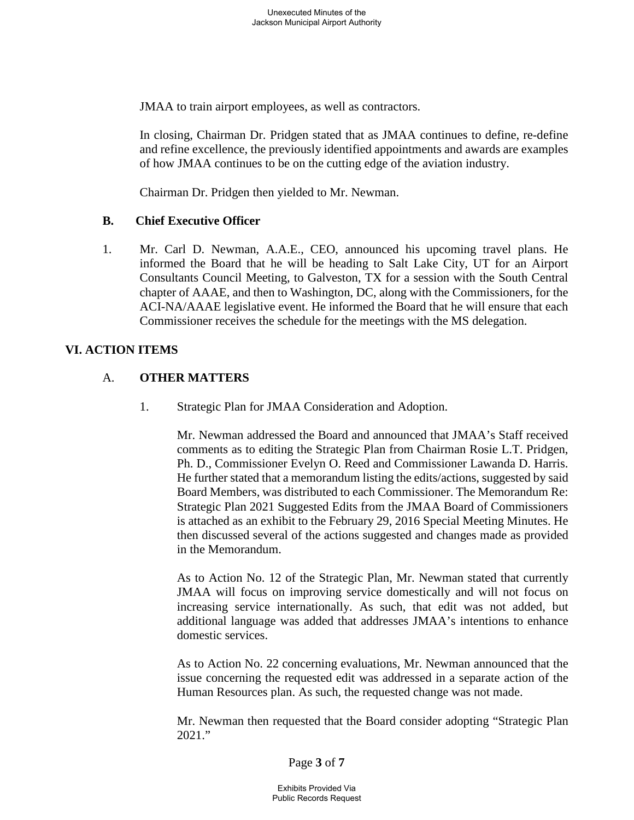JMAA to train airport employees, as well as contractors.

In closing, Chairman Dr. Pridgen stated that as JMAA continues to define, re-define and refine excellence, the previously identified appointments and awards are examples of how JMAA continues to be on the cutting edge of the aviation industry.

Chairman Dr. Pridgen then yielded to Mr. Newman.

### **B. Chief Executive Officer**

1. Mr. Carl D. Newman, A.A.E., CEO, announced his upcoming travel plans. He informed the Board that he will be heading to Salt Lake City, UT for an Airport Consultants Council Meeting, to Galveston, TX for a session with the South Central chapter of AAAE, and then to Washington, DC, along with the Commissioners, for the ACI-NA/AAAE legislative event. He informed the Board that he will ensure that each Commissioner receives the schedule for the meetings with the MS delegation.

## **VI. ACTION ITEMS**

## A. **OTHER MATTERS**

1. Strategic Plan for JMAA Consideration and Adoption.

Mr. Newman addressed the Board and announced that JMAA's Staff received comments as to editing the Strategic Plan from Chairman Rosie L.T. Pridgen, Ph. D., Commissioner Evelyn O. Reed and Commissioner Lawanda D. Harris. He further stated that a memorandum listing the edits/actions, suggested by said Board Members, was distributed to each Commissioner. The Memorandum Re: Strategic Plan 2021 Suggested Edits from the JMAA Board of Commissioners is attached as an exhibit to the February 29, 2016 Special Meeting Minutes. He then discussed several of the actions suggested and changes made as provided in the Memorandum.

As to Action No. 12 of the Strategic Plan, Mr. Newman stated that currently JMAA will focus on improving service domestically and will not focus on increasing service internationally. As such, that edit was not added, but additional language was added that addresses JMAA's intentions to enhance domestic services.

As to Action No. 22 concerning evaluations, Mr. Newman announced that the issue concerning the requested edit was addressed in a separate action of the Human Resources plan. As such, the requested change was not made.

Mr. Newman then requested that the Board consider adopting "Strategic Plan 2021."

Page **3** of **7**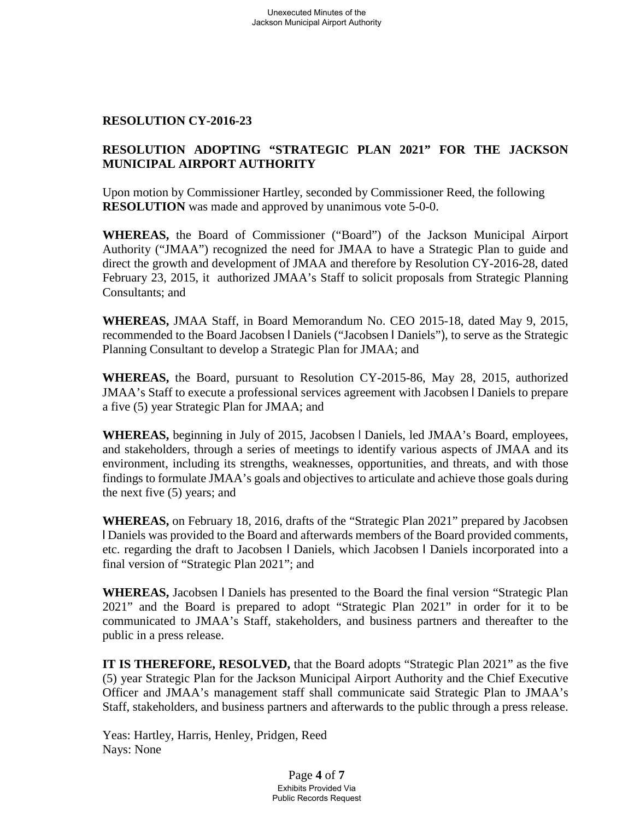### **RESOLUTION CY-2016-23**

# **RESOLUTION ADOPTING "STRATEGIC PLAN 2021" FOR THE JACKSON MUNICIPAL AIRPORT AUTHORITY**

Upon motion by Commissioner Hartley, seconded by Commissioner Reed, the following **RESOLUTION** was made and approved by unanimous vote 5-0-0.

**WHEREAS,** the Board of Commissioner ("Board") of the Jackson Municipal Airport Authority ("JMAA") recognized the need for JMAA to have a Strategic Plan to guide and direct the growth and development of JMAA and therefore by Resolution CY-2016-28, dated February 23, 2015, it authorized JMAA's Staff to solicit proposals from Strategic Planning Consultants; and

**WHEREAS,** JMAA Staff, in Board Memorandum No. CEO 2015-18, dated May 9, 2015, recommended to the Board Jacobsen l Daniels ("Jacobsen l Daniels"), to serve as the Strategic Planning Consultant to develop a Strategic Plan for JMAA; and

**WHEREAS,** the Board, pursuant to Resolution CY-2015-86, May 28, 2015, authorized JMAA's Staff to execute a professional services agreement with Jacobsen l Daniels to prepare a five (5) year Strategic Plan for JMAA; and

**WHEREAS,** beginning in July of 2015, Jacobsen l Daniels, led JMAA's Board, employees, and stakeholders, through a series of meetings to identify various aspects of JMAA and its environment, including its strengths, weaknesses, opportunities, and threats, and with those findings to formulate JMAA's goals and objectives to articulate and achieve those goals during the next five (5) years; and

**WHEREAS,** on February 18, 2016, drafts of the "Strategic Plan 2021" prepared by Jacobsen l Daniels was provided to the Board and afterwards members of the Board provided comments, etc. regarding the draft to Jacobsen l Daniels, which Jacobsen l Daniels incorporated into a final version of "Strategic Plan 2021"; and

**WHEREAS,** Jacobsen l Daniels has presented to the Board the final version "Strategic Plan 2021" and the Board is prepared to adopt "Strategic Plan 2021" in order for it to be communicated to JMAA's Staff, stakeholders, and business partners and thereafter to the public in a press release.

**IT IS THEREFORE, RESOLVED,** that the Board adopts "Strategic Plan 2021" as the five (5) year Strategic Plan for the Jackson Municipal Airport Authority and the Chief Executive Officer and JMAA's management staff shall communicate said Strategic Plan to JMAA's Staff, stakeholders, and business partners and afterwards to the public through a press release.

Yeas: Hartley, Harris, Henley, Pridgen, Reed Nays: None

> Page **4** of **7** Exhibits Provided Via Public Records Request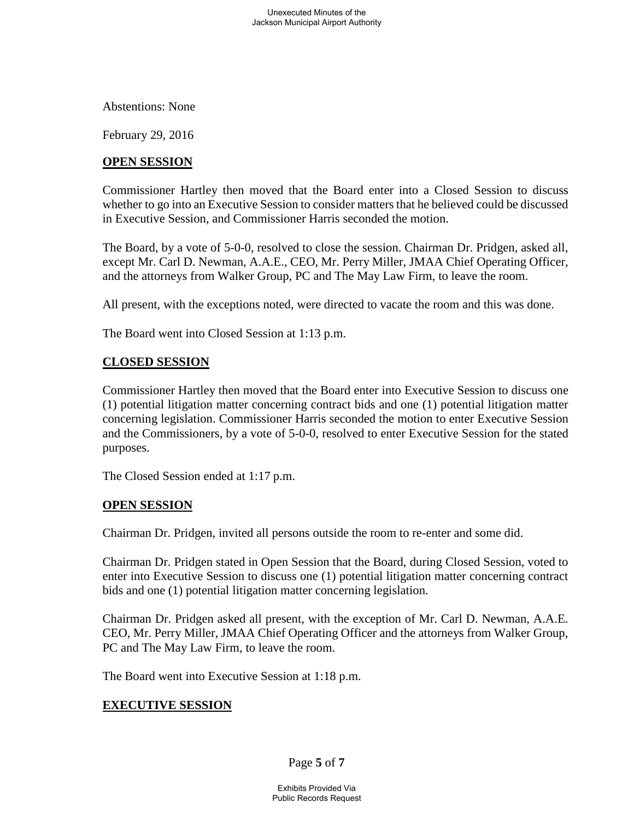Abstentions: None

February 29, 2016

## **OPEN SESSION**

Commissioner Hartley then moved that the Board enter into a Closed Session to discuss whether to go into an Executive Session to consider matters that he believed could be discussed in Executive Session, and Commissioner Harris seconded the motion.

The Board, by a vote of 5-0-0, resolved to close the session. Chairman Dr. Pridgen, asked all, except Mr. Carl D. Newman, A.A.E., CEO, Mr. Perry Miller, JMAA Chief Operating Officer, and the attorneys from Walker Group, PC and The May Law Firm, to leave the room.

All present, with the exceptions noted, were directed to vacate the room and this was done.

The Board went into Closed Session at 1:13 p.m.

# **CLOSED SESSION**

Commissioner Hartley then moved that the Board enter into Executive Session to discuss one (1) potential litigation matter concerning contract bids and one (1) potential litigation matter concerning legislation. Commissioner Harris seconded the motion to enter Executive Session and the Commissioners, by a vote of 5-0-0, resolved to enter Executive Session for the stated purposes.

The Closed Session ended at 1:17 p.m.

### **OPEN SESSION**

Chairman Dr. Pridgen, invited all persons outside the room to re-enter and some did.

Chairman Dr. Pridgen stated in Open Session that the Board, during Closed Session, voted to enter into Executive Session to discuss one (1) potential litigation matter concerning contract bids and one (1) potential litigation matter concerning legislation.

Chairman Dr. Pridgen asked all present, with the exception of Mr. Carl D. Newman, A.A.E. CEO, Mr. Perry Miller, JMAA Chief Operating Officer and the attorneys from Walker Group, PC and The May Law Firm, to leave the room.

The Board went into Executive Session at 1:18 p.m.

### **EXECUTIVE SESSION**

Page **5** of **7**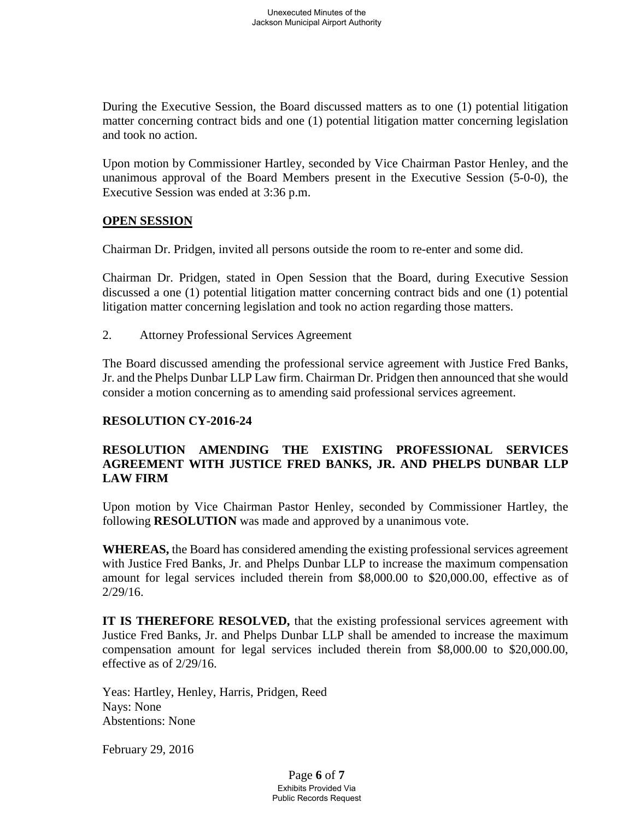During the Executive Session, the Board discussed matters as to one (1) potential litigation matter concerning contract bids and one (1) potential litigation matter concerning legislation and took no action.

Upon motion by Commissioner Hartley, seconded by Vice Chairman Pastor Henley, and the unanimous approval of the Board Members present in the Executive Session (5-0-0), the Executive Session was ended at 3:36 p.m.

# **OPEN SESSION**

Chairman Dr. Pridgen, invited all persons outside the room to re-enter and some did.

Chairman Dr. Pridgen, stated in Open Session that the Board, during Executive Session discussed a one (1) potential litigation matter concerning contract bids and one (1) potential litigation matter concerning legislation and took no action regarding those matters.

2. Attorney Professional Services Agreement

The Board discussed amending the professional service agreement with Justice Fred Banks, Jr. and the Phelps Dunbar LLP Law firm. Chairman Dr. Pridgen then announced that she would consider a motion concerning as to amending said professional services agreement.

# **RESOLUTION CY-2016-24**

# **RESOLUTION AMENDING THE EXISTING PROFESSIONAL SERVICES AGREEMENT WITH JUSTICE FRED BANKS, JR. AND PHELPS DUNBAR LLP LAW FIRM**

Upon motion by Vice Chairman Pastor Henley, seconded by Commissioner Hartley, the following **RESOLUTION** was made and approved by a unanimous vote.

**WHEREAS,** the Board has considered amending the existing professional services agreement with Justice Fred Banks, Jr. and Phelps Dunbar LLP to increase the maximum compensation amount for legal services included therein from \$8,000.00 to \$20,000.00, effective as of 2/29/16.

**IT IS THEREFORE RESOLVED,** that the existing professional services agreement with Justice Fred Banks, Jr. and Phelps Dunbar LLP shall be amended to increase the maximum compensation amount for legal services included therein from \$8,000.00 to \$20,000.00, effective as of 2/29/16.

Yeas: Hartley, Henley, Harris, Pridgen, Reed Nays: None Abstentions: None

February 29, 2016